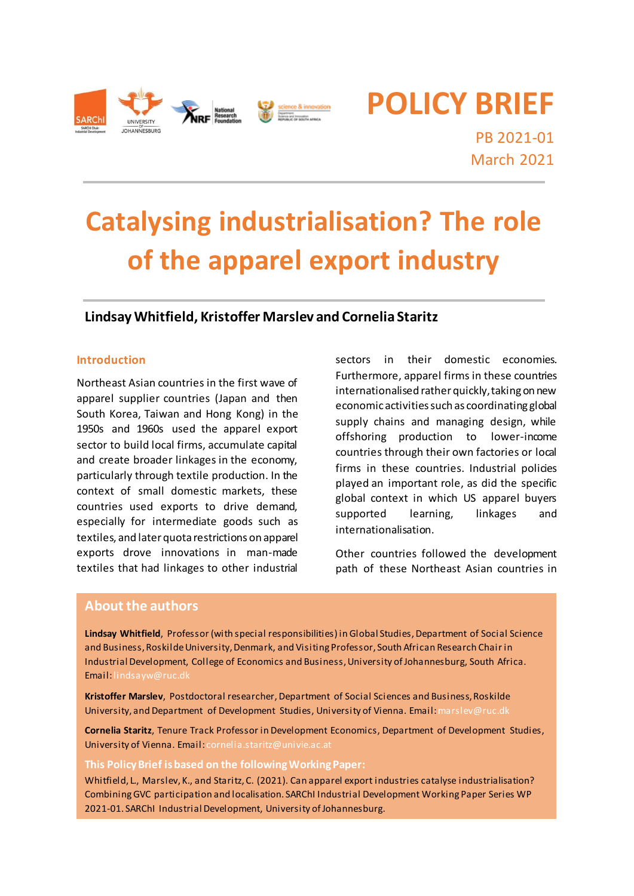

**POLICY BRIEF**

PB 2021-01 March 2021

# **Catalysing industrialisation? The role of the apparel export industry**

# **Lindsay Whitfield, Kristoffer Marslev and Cornelia Staritz**

#### **Introduction**

Northeast Asian countries in the first wave of apparel supplier countries (Japan and then South Korea, Taiwan and Hong Kong) in the 1950s and 1960s used the apparel export sector to build local firms, accumulate capital and create broader linkages in the economy, particularly through textile production. In the context of small domestic markets, these countries used exports to drive demand, especially for intermediate goods such as textiles, and later quota restrictions on apparel exports drove innovations in man-made textiles that had linkages to other industrial

sectors in their domestic economies. Furthermore, apparel firms in these countries internationalised rather quickly, taking on new economic activities such as coordinating global supply chains and managing design, while offshoring production to lower-income countries through their own factories or local firms in these countries. Industrial policies played an important role, as did the specific global context in which US apparel buyers supported learning, linkages and internationalisation.

Other countries followed the development path of these Northeast Asian countries in

# **About the authors**

**Lindsay Whitfield**, Professor (with special responsibilities) in Global Studies, Department of Social Science and Business, Roskilde University, Denmark, and Visiting Professor, South African Research Chair in Industrial Development, College of Economics and Business, University of Johannesburg, South Africa. Email[:lindsayw@ruc.dk](mailto:lindsayw@ruc.dk)

**Kristoffer Marslev**, Postdoctoral researcher, Department of Social Sciences and Business, Roskilde University, and Department of Development Studies, University of Vienna. Email: marslev@ruc.dk

**Cornelia Staritz**, Tenure Track Professor in Development Economics, Department of Development Studies, University of Vienna. Email: [cornelia.staritz@univie.ac.at](mailto:cornelia.staritz@univie.ac.at)

**This Policy Brief is based on the following Working Paper:**

Whitfield, L., Marslev, K., and Staritz, C. (2021). Can apparel export industries catalyse industrialisation? Combining GVC participation and localisation. SARChI Industrial Development Working Paper Series WP 2021-01. SARChI Industrial Development, University of Johannesburg.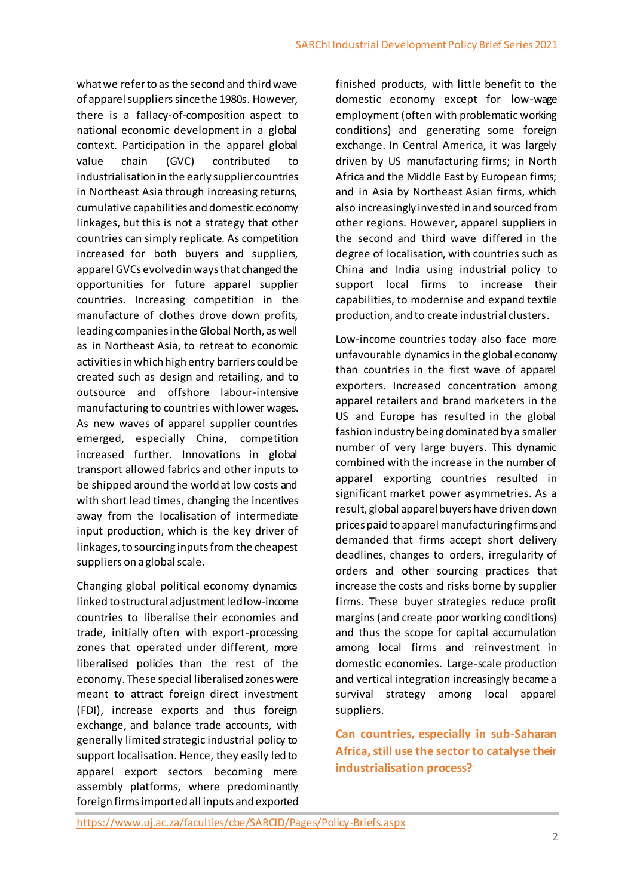what we refer to as the second and third wave of apparel suppliers since the 1980s. However, there is a fallacy-of-composition aspect to national economic development in a global context. Participation in the apparel global value chain (GVC) contributed to industrialisation in the early supplier countries in Northeast Asia through increasing returns, cumulative capabilities and domestic economy linkages, but this is not a strategy that other countries can simply replicate. As competition increased for both buyers and suppliers, apparel GVCs evolved in ways that changed the opportunities for future apparel supplier countries. Increasing competition in the manufacture of clothes drove down profits, leading companies in the Global North, as well as in Northeast Asia, to retreat to economic activities in which high entry barriers could be created such as design and retailing, and to outsource and offshore labour-intensive manufacturing to countries with lower wages. As new waves of apparel supplier countries emerged, especially China, competition increased further. Innovations in global transport allowed fabrics and other inputs to be shipped around the world at low costs and with short lead times, changing the incentives away from the localisation of intermediate input production, which is the key driver of linkages, to sourcing inputs from the cheapest suppliers on a global scale.

Changing global political economy dynamics linked to structural adjustment led low-income countries to liberalise their economies and trade, initially often with export-processing zones that operated under different, more liberalised policies than the rest of the economy. These special liberalised zones were meant to attract foreign direct investment (FDI), increase exports and thus foreign exchange, and balance trade accounts, with generally limited strategic industrial policy to support localisation. Hence, they easily led to apparel export sectors becoming mere assembly platforms, where predominantly foreign firms imported all inputs and exported

finished products, with little benefit to the domestic economy except for low-wage employment (often with problematic working conditions) and generating some foreign exchange. In Central America, it was largely driven by US manufacturing firms; in North Africa and the Middle East by European firms; and in Asia by Northeast Asian firms, which also increasingly invested in and sourced from other regions. However, apparel suppliers in the second and third wave differed in the degree of localisation, with countries such as China and India using industrial policy to support local firms to increase their capabilities, to modernise and expand textile production, and to create industrial clusters.

Low-income countries today also face more unfavourable dynamics in the global economy than countries in the first wave of apparel exporters. Increased concentration among apparel retailers and brand marketers in the US and Europe has resulted in the global fashion industry being dominated by a smaller number of very large buyers. This dynamic combined with the increase in the number of apparel exporting countries resulted in significant market power asymmetries. As a result, global apparel buyers have driven down prices paid to apparel manufacturing firms and demanded that firms accept short delivery deadlines, changes to orders, irregularity of orders and other sourcing practices that increase the costs and risks borne by supplier firms. These buyer strategies reduce profit margins (and create poor working conditions) and thus the scope for capital accumulation among local firms and reinvestment in domestic economies. Large-scale production and vertical integration increasingly became a survival strategy among local apparel suppliers.

**Can countries, especially in sub-Saharan Africa, still use the sector to catalyse their industrialisation process?**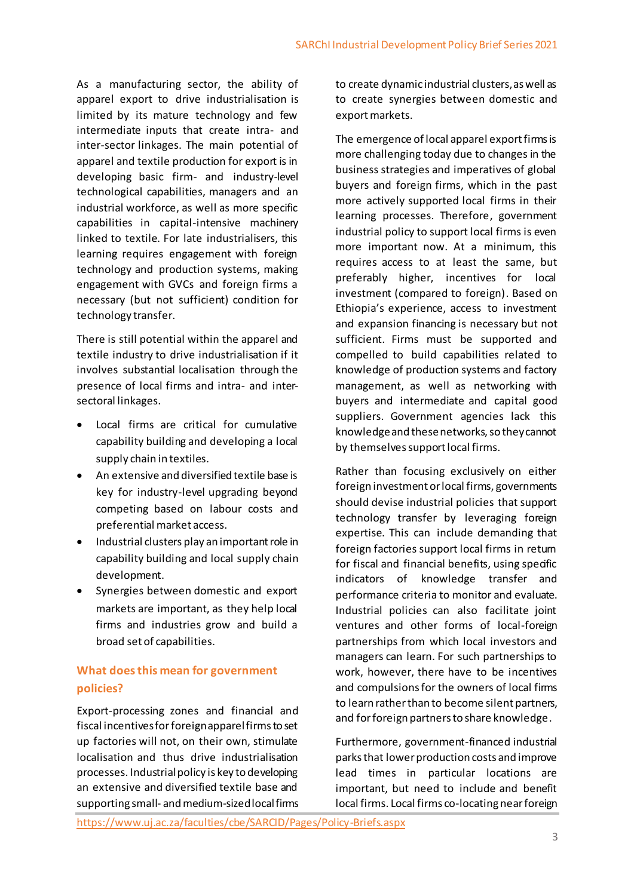As a manufacturing sector, the ability of apparel export to drive industrialisation is limited by its mature technology and few intermediate inputs that create intra- and inter-sector linkages. The main potential of apparel and textile production for export is in developing basic firm- and industry-level technological capabilities, managers and an industrial workforce, as well as more specific capabilities in capital-intensive machinery linked to textile. For late industrialisers, this learning requires engagement with foreign technology and production systems, making engagement with GVCs and foreign firms a necessary (but not sufficient) condition for technology transfer.

There is still potential within the apparel and textile industry to drive industrialisation if it involves substantial localisation through the presence of local firms and intra- and intersectoral linkages.

- Local firms are critical for cumulative capability building and developing a local supply chain in textiles.
- An extensive and diversified textile base is key for industry-level upgrading beyond competing based on labour costs and preferential market access.
- Industrial clusters play an important role in capability building and local supply chain development.
- Synergies between domestic and export markets are important, as they help local firms and industries grow and build a broad set of capabilities.

# **What does this mean for government policies?**

Export-processing zones and financial and fiscal incentives for foreign apparel firms to set up factories will not, on their own, stimulate localisation and thus drive industrialisation processes. Industrial policy is key to developing an extensive and diversified textile base and supporting small- and medium-sizedlocal firms to create dynamic industrial clusters, as well as to create synergies between domestic and export markets.

The emergence of local apparel export firms is more challenging today due to changes in the business strategies and imperatives of global buyers and foreign firms, which in the past more actively supported local firms in their learning processes. Therefore, government industrial policy to support local firms is even more important now. At a minimum, this requires access to at least the same, but preferably higher, incentives for local investment (compared to foreign). Based on Ethiopia's experience, access to investment and expansion financing is necessary but not sufficient. Firms must be supported and compelled to build capabilities related to knowledge of production systems and factory management, as well as networking with buyers and intermediate and capital good suppliers. Government agencies lack this knowledge and these networks, so they cannot by themselves support local firms.

Rather than focusing exclusively on either foreign investment or local firms, governments should devise industrial policies that support technology transfer by leveraging foreign expertise. This can include demanding that foreign factories support local firms in return for fiscal and financial benefits, using specific indicators of knowledge transfer and performance criteria to monitor and evaluate. Industrial policies can also facilitate joint ventures and other forms of local-foreign partnerships from which local investors and managers can learn. For such partnerships to work, however, there have to be incentives and compulsions for the owners of local firms to learn rather than to become silent partners, and for foreign partners to share knowledge.

Furthermore, government-financed industrial parks that lower production costs and improve lead times in particular locations are important, but need to include and benefit local firms. Local firms co-locating near foreign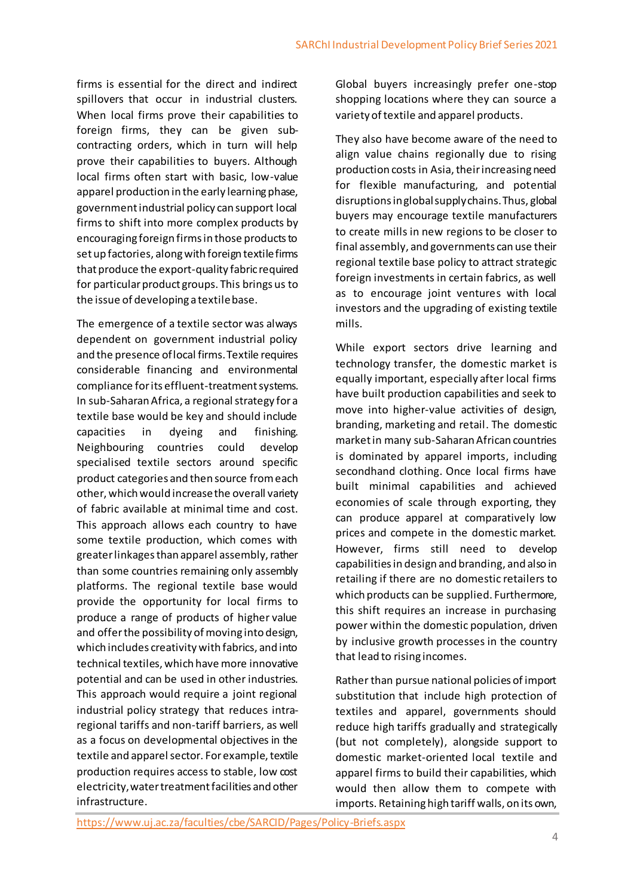firms is essential for the direct and indirect spillovers that occur in industrial clusters. When local firms prove their capabilities to foreign firms, they can be given subcontracting orders, which in turn will help prove their capabilities to buyers. Although local firms often start with basic, low-value apparel production in the early learning phase, government industrial policy can support local firms to shift into more complex products by encouraging foreign firms in those products to set up factories, along with foreign textile firms that produce the export-quality fabric required for particular product groups. This brings us to the issue of developing a textile base.

The emergence of a textile sector was always dependent on government industrial policy and the presence of local firms. Textile requires considerable financing and environmental compliance for its effluent-treatment systems. In sub-Saharan Africa, a regional strategy for a textile base would be key and should include capacities in dyeing and finishing. Neighbouring countries could develop specialised textile sectors around specific product categories and then source from each other, which would increase the overall variety of fabric available at minimal time and cost. This approach allows each country to have some textile production, which comes with greater linkages than apparel assembly, rather than some countries remaining only assembly platforms. The regional textile base would provide the opportunity for local firms to produce a range of products of higher value and offer the possibility of moving into design, which includes creativity with fabrics, and into technical textiles, which have more innovative potential and can be used in other industries. This approach would require a joint regional industrial policy strategy that reduces intraregional tariffs and non-tariff barriers, as well as a focus on developmental objectives in the textile and apparel sector. For example, textile production requires access to stable, low cost electricity, water treatment facilities and other infrastructure.

Global buyers increasingly prefer one-stop shopping locations where they can source a variety of textile and apparel products.

They also have become aware of the need to align value chains regionally due to rising production costs in Asia, their increasing need for flexible manufacturing, and potential disruptions inglobal supply chains. Thus, global buyers may encourage textile manufacturers to create mills in new regions to be closer to final assembly, and governments can use their regional textile base policy to attract strategic foreign investments in certain fabrics, as well as to encourage joint ventures with local investors and the upgrading of existing textile mills.

While export sectors drive learning and technology transfer, the domestic market is equally important, especially after local firms have built production capabilities and seek to move into higher-value activities of design, branding, marketing and retail. The domestic market in many sub-Saharan African countries is dominated by apparel imports, including secondhand clothing. Once local firms have built minimal capabilities and achieved economies of scale through exporting, they can produce apparel at comparatively low prices and compete in the domestic market. However, firms still need to develop capabilities in design and branding, and also in retailing if there are no domestic retailers to which products can be supplied. Furthermore, this shift requires an increase in purchasing power within the domestic population, driven by inclusive growth processes in the country that lead to rising incomes.

Rather than pursue national policies of import substitution that include high protection of textiles and apparel, governments should reduce high tariffs gradually and strategically (but not completely), alongside support to domestic market-oriented local textile and apparel firms to build their capabilities, which would then allow them to compete with imports. Retaining high tariff walls, on its own,